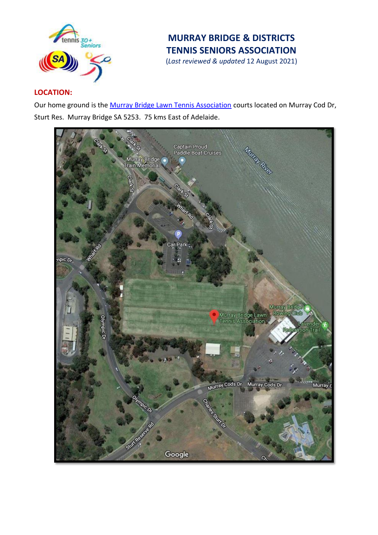

# **MURRAY BRIDGE & DISTRICTS TENNIS SENIORS ASSOCIATION**

(*Last reviewed & updated* 12 August 2021)

# **LOCATION:**

Our home ground is the [Murray Bridge Lawn Tennis Association](https://www.google.com/maps/place/Murray+Bridge+Lawn+Tennis+Association/@-35.1200323,139.2768131,16.25z/data=!4m5!3m4!1s0x0:0x1849b81bd279904f!8m2!3d-35.1197506!4d139.2819858) courts located on Murray Cod Dr, Sturt Res. Murray Bridge SA 5253. 75 kms East of Adelaide.

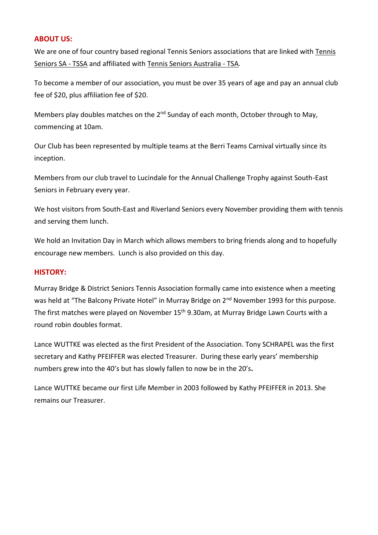### **ABOUT US:**

We are one of four country based regional Tennis Seniors associations that are linked wit[h Tennis](https://play.tennis.com.au/TennisSeniorsSA)  [Seniors SA](https://play.tennis.com.au/TennisSeniorsSA) - TSSA and affiliated with [Tennis Seniors Australia](http://www.tennisseniors.org.au/) - TSA.

To become a member of our association, you must be over 35 years of age and pay an annual club fee of \$20, plus affiliation fee of \$20.

Members play doubles matches on the 2<sup>nd</sup> Sunday of each month, October through to May, commencing at 10am.

Our Club has been represented by multiple teams at the Berri Teams Carnival virtually since its inception.

Members from our club travel to Lucindale for the Annual Challenge Trophy against South-East Seniors in February every year.

We host visitors from South-East and Riverland Seniors every November providing them with tennis and serving them lunch.

We hold an Invitation Day in March which allows members to bring friends along and to hopefully encourage new members. Lunch is also provided on this day.

## **HISTORY:**

Murray Bridge & District Seniors Tennis Association formally came into existence when a meeting was held at "The Balcony Private Hotel" in Murray Bridge on 2<sup>nd</sup> November 1993 for this purpose. The first matches were played on November 15<sup>th</sup> 9.30am, at Murray Bridge Lawn Courts with a round robin doubles format.

Lance WUTTKE was elected as the first President of the Association. Tony SCHRAPEL was the first secretary and Kathy PFEIFFER was elected Treasurer. During these early years' membership numbers grew into the 40's but has slowly fallen to now be in the 20's**.**

Lance WUTTKE became our first Life Member in 2003 followed by Kathy PFEIFFER in 2013. She remains our Treasurer.